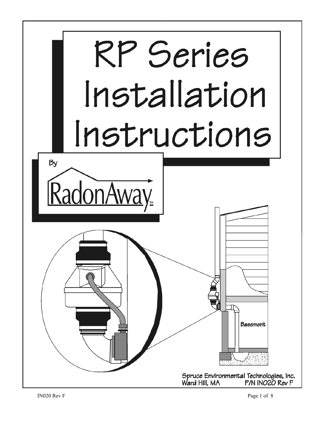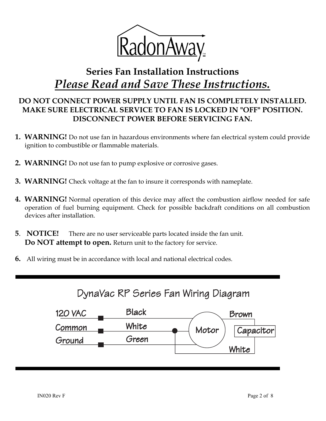

# **Series Fan Installation Instructions** *Please Read and Save These Instructions.*

# **DO NOT CONNECT POWER SUPPLY UNTIL FAN IS COMPLETELY INSTALLED. MAKE SURE ELECTRICAL SERVICE TO FAN IS LOCKED IN "OFF" POSITION. DISCONNECT POWER BEFORE SERVICING FAN.**

- **1. WARNING!** Do not use fan in hazardous environments where fan electrical system could provide ignition to combustible or flammable materials.
- **2. WARNING!** Do not use fan to pump explosive or corrosive gases.
- **3. WARNING!** Check voltage at the fan to insure it corresponds with nameplate.
- **4. WARNING!** Normal operation of this device may affect the combustion airflow needed for safe operation of fuel burning equipment. Check for possible backdraft conditions on all combustion devices after installation.
- **5**. **NOTICE!** There are no user serviceable parts located inside the fan unit. **Do NOT attempt to open.** Return unit to the factory for service.
- **6.** All wiring must be in accordance with local and national electrical codes.

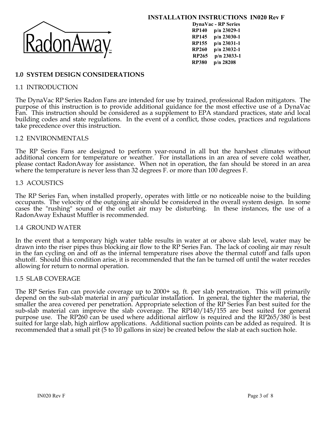

**INSTALLATION INSTRUCTIONS IN020 Rev F**

**DynaVac - RP Series RP140 p/n 23029-1 RP145 p/n 23030-1 RP155 p/n 23031-1 RP260 p/n 23032-1 RP265 p/n 23033-1 RP380 p/n 28208**

# **1.0 SYSTEM DESIGN CONSIDERATIONS**

### 1.1 INTRODUCTION

The DynaVac RP Series Radon Fans are intended for use by trained, professional Radon mitigators. The purpose of this instruction is to provide additional guidance for the most effective use of a DynaVac Fan. This instruction should be considered as a supplement to EPA standard practices, state and local building codes and state regulations. In the event of a conflict, those codes, practices and regulations take precedence over this instruction.

#### 1.2 ENVIRONMENTALS

The RP Series Fans are designed to perform year-round in all but the harshest climates without additional concern for temperature or weather. For installations in an area of severe cold weather, please contact RadonAway for assistance. When not in operation, the fan should be stored in an area where the temperature is never less than 32 degrees F, or more than 100 degrees F.

#### 1.3 ACOUSTICS

The RP Series Fan, when installed properly, operates with little or no noticeable noise to the building occupants. The velocity of the outgoing air should be considered in the overall system design. In some cases the "rushing" sound of the outlet air may be disturbing. In these instances, the use of a RadonAway Exhaust Muffler is recommended.

#### 1.4 GROUND WATER

In the event that a temporary high water table results in water at or above slab level, water may be drawn into the riser pipes thus blocking air flow to the RP Series Fan. The lack of cooling air may result in the fan cyc shutoff. Should this condition arise, it is recommended that the fan be turned off until the water recedes allowing for return to normal operation.

#### 1.5 SLAB COVERAGE

The RP Series Fan can provide coverage up to 2000+ sq. ft. per slab penetration. This will primarily depend on the sub-slab material in any particular installation. In general, the tighter the material, the smaller the are purpose use. The RP260 can be used where additional airflow is required and the RP265/380 is best suited for large slab, high airflow applications. Additional suction points can be added as required. It is recommended that a small pit (5 to 10 gallons in size) be created below the slab at each suction hole.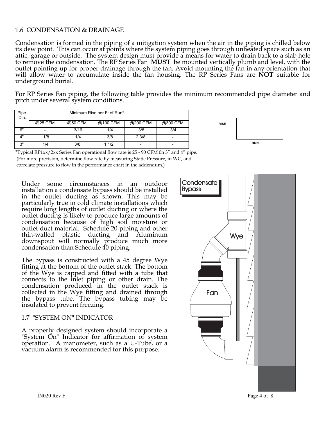# 1.6 CONDENSATION & DRAINAGE

Condensation is formed in the piping of a mitigation system when the air in the piping is chilled below its dew point. This can occur at points where the system piping goes through unheated space such as an attic, garage or outside. The system design must provide a means for water to drain back to a slab hole to remove the condensation. The RP Series Fan **MUST** be mounted vertically plumb and level, with the outlet pointing up for proper drainage through the fan. Avoid mounting the fan in any orientation that will allow water to accumulate inside the fan housing. The RP Series Fans are **NOT** suitable for underground burial.

For RP Series Fan piping, the following table provides the minimum recommended pipe diameter and pitch under several system conditions.

| Pipe<br>Dia. | Minimum Rise per Ft of Run* |         |          |          |          |  |  |  |
|--------------|-----------------------------|---------|----------|----------|----------|--|--|--|
|              | @25 CFM                     | @50 CFM | @100 CFM | @200 CFM | @300 CFM |  |  |  |
| 6"           |                             | 3/16    | 1/4      | 3/8      | 3/4      |  |  |  |
| 1"           | 1/8                         | 1/4     | 3/8      | 23/8     |          |  |  |  |
| 3"           | 1/4                         | 3/8     | 11/2     |          |          |  |  |  |



\*Typical RP1xx/2xx Series Fan operational flow rate is 25 - 90 CFM 0n 3" and 4" pipe. (For more precision, determine flow rate by measuring Static Pressure, in WC, and correlate pressure to flow in the performance chart in the addendum.)

Under some circumstances in an outdoor installation a condensate bypass should be installed in the outlet ducting as shown. This may be particularly true in cold climate installations which require long lengths of outlet ducting or where the outlet ducting is likely to produce large amounts of condensation because of high soil moisture or outlet duct material. Schedule 20 piping and other thin-walled plastic ducting and Aluminum downspout will normally produce much more condensation than Schedule 40 piping.

The bypass is constructed with a 45 degree Wye fitting at the bottom of the outlet stack. The bottom of the Wye is capped and fitted with a tube that connects to the inlet piping or other drain. The condensation produced in the outlet stack is collected in the Wye fitting and drained through the bypass tube. The bypass tubing may be insulated to prevent freezing.

#### 1.7 "SYSTEM ON" INDICATOR

A properly designed system should incorporate a "System On" Indicator for affirmation of system operation. A manometer, such as a U-Tube, or a vacuum alarm is recommended for this purpose.

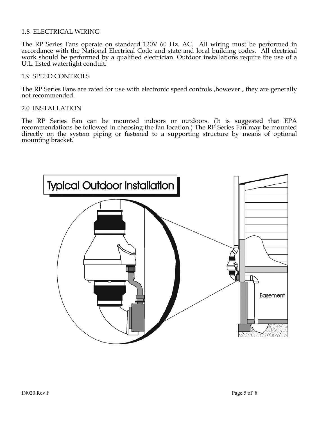# 1.8 ELECTRICAL WIRING

The RP Series Fans operate on standard 120V 60 Hz. AC. All wiring must be performed in accordance with the National Electrical Code and state and local building codes. All electrical work should be performed by a qualified electrician. Outdoor installations require the use of a U.L. listed watertight conduit.

#### 1.9 SPEED CONTROLS

The RP Series Fans are rated for use with electronic speed controls ,however , they are generally not recommended.

#### 2.0 INSTALLATION

The RP Series Fan can be mounted indoors or outdoors. (It is suggested that EPA recommendations be followed in choosing the fan location.) The RP Series Fan may be mounted directly on the system piping or fastened to a sup

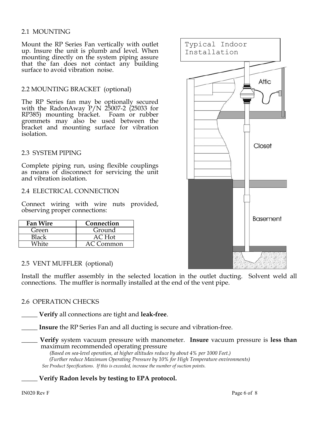# 2.1 MOUNTING

Mount the RP Series Fan vertically with outlet up. Insure the unit is plumb and level. When mounting directly on the system piping assure that the fan does not contact any building surface to avoid vibration noise.

# 2.2 MOUNTING BRACKET (optional)

The RP Series fan may be optionally secured with the RadonAway  $P/N$  25007-2 (25033 for RP385) mounting bracket. Foam or rubber grommets may also be used between the bracket and mounting surface for vibration isolation.

# 2.3 SYSTEM PIPING

Complete piping run, using flexible couplings as means of disconnect for servicing the unit and vibration isolation.

# 2.4 ELECTRICAL CONNECTION

Connect wiring with wire nuts provided, observing proper connections:

| Fan Wire | Connection |
|----------|------------|
| Green    | Ground     |
| Black    | AC Hot     |
| Nhite    | AC Common  |

#### 2.5 VENT MUFFLER (optional)

Install the muffler assembly in the selected location in the outlet ducting. Solvent weld all connections. The muffler is normally installed at the end of the vent pipe.

# 2.6 OPERATION CHECKS

\_\_\_\_\_ **Verify** all connections are tight and **leak-free**.

\_\_\_\_\_ **Insure** the RP Series Fan and all ducting is secure and vibration-free.

\_\_\_\_\_ **Verify** system vacuum pressure with manometer. **Insure** vacuum pressure is **less than** maximum recommended operating pressure

 *(Based on sea-level operation, at higher altitudes reduce by about 4% per 1000 Feet.) (Further reduce Maximum Operating Pressure by 10% for High Temperature environments) See Product Specifications. If this is exceeded, increase the number of suction points.*

\_\_\_\_\_ **Verify Radon levels by testing to EPA protocol.**

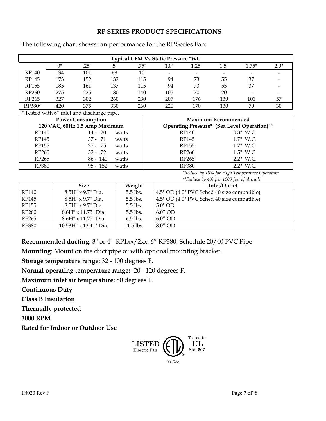# **RP SERIES PRODUCT SPECIFICATIONS**

| <b>Typical CFM Vs Static Pressure "WC</b> |        |      |     |      |      |                          |      |       |      |
|-------------------------------------------|--------|------|-----|------|------|--------------------------|------|-------|------|
|                                           | $\cap$ | .25" | .5" | .75" | 1.0" | 1.25"                    | 1.5" | 1.75" | 2.0" |
| RP140                                     | 134    | 101  | 68  | 10   |      | $\overline{\phantom{a}}$ |      |       |      |
| RP145                                     | 173    | 152  | 132 | 115  | 94   | 73                       | 55   | 37    |      |
| RP155                                     | 185    | 161  | 137 | 115  | 94   | 73                       | 55   | 37    |      |
| RP <sub>260</sub>                         | 275    | 225  | 180 | 140  | 105  | 70                       | 20   |       |      |
| RP <sub>265</sub>                         | 327    | 302  | 260 | 230  | 207  | 176                      | 139  | 101   | 57   |
| RP380*                                    | 420    | 375  | 330 | 260  | 220  | 170                      | 130  | 70    | 30   |

The following chart shows fan performance for the RP Series Fan:

\* Tested with 6" inlet and discharge pipe.

|              | <b>Power Consumption</b>      | <b>Maximum Recommended</b> |                                             |  |
|--------------|-------------------------------|----------------------------|---------------------------------------------|--|
|              | 120 VAC, 60Hz 1.5 Amp Maximum |                            | Operating Pressure* (Sea Level Operation)** |  |
| RP140        | $14 - 20$<br>watts            | RP140                      | $0.8"$ W.C.                                 |  |
| RP145        | $37 - 71$<br>watts            | RP145                      | 1.7" W.C.                                   |  |
| RP155        | 37 - 75<br>watts              | RP155                      | 1.7" W.C.                                   |  |
| <b>RP260</b> | $52 - 72$<br>watts            | RP260                      | $1.5"$ W.C.                                 |  |
| RP265        | $86 - 140$<br>watts           | RP265                      | $2.2"$ W.C.                                 |  |
| <b>RP380</b> | $95 - 152$<br>watts           | <b>RP380</b>               | $2.2"$ W.C.                                 |  |

*\*Reduce by 10% for High Temperature Operation \*\*Reduce by 4% per 1000 feet of altitude*

|              | <b>Size</b>                 | Weight      | Inlet/Outlet                                |
|--------------|-----------------------------|-------------|---------------------------------------------|
| RP140        | $8.5H'' \times 9.7''$ Dia.  | $5.5$ lbs.  | 4.5" OD (4.0" PVC Sched 40 size compatible) |
| RP145        | $8.5H'' \times 9.7''$ Dia.  | $5.5$ lbs.  | 4.5" OD (4.0" PVC Sched 40 size compatible) |
| <b>RP155</b> | $8.5H'' \times 9.7''$ Dia.  | $5.5$ lbs.  | $5.0"$ OD                                   |
| <b>RP260</b> | $8.6H''$ x 11.75" Dia.      | $5.5$ lbs.  | $6.0''$ OD                                  |
| RP265        | 8.6H" x 11.75" Dia.         | $6.5$ lbs.  | $6.0''$ OD                                  |
| <b>RP380</b> | $10.53H''$ x $13.41''$ Dia. | $11.5$ lbs. | $8.0''$ OD                                  |

**Recommended ducting**: 3" or 4" RP1xx/2xx, 6" RP380, Schedule 20/40 PVC Pipe

**Mounting**: Mount on the duct pipe or with optional mounting bracket.

**Storage temperature range**: 32 - 100 degrees F.

**Normal operating temperature range:** -20 - 120 degrees F.

**Maximum inlet air temperature:** 80 degrees F.

**Continuous Duty** 

**Class B Insulation**

**Thermally protected**

**3000 RPM**

**Rated for Indoor or Outdoor Use**